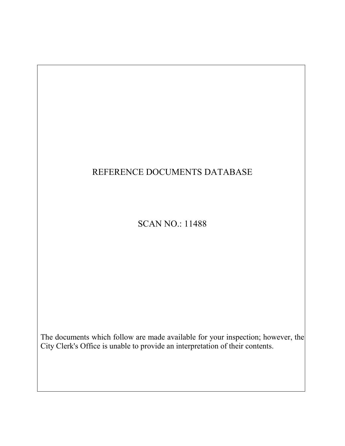# REFERENCE DOCUMENTS DATABASE

## SCAN NO.: 11488

The documents which follow are made available for your inspection; however, the City Clerk's Office is unable to provide an interpretation of their contents.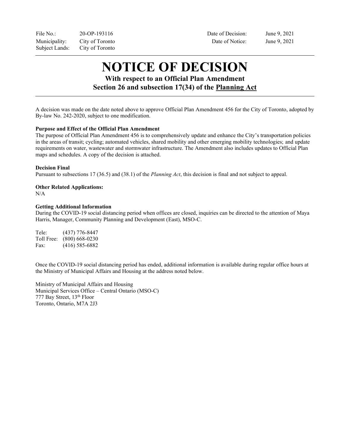File No.: 20-OP-193116 Date of Decision: June 9, 2021 Municipality: City of Toronto Date of Notice: June 9, 2021 Subject Lands: City of Toronto

# **NOTICE OF DECISION**

## **With respect to an Official Plan Amendment Section 26 and subsection 17(34) of the Planning Act**

A decision was made on the date noted above to approve Official Plan Amendment 456 for the City of Toronto, adopted by By-law No. 242-2020, subject to one modification.

#### **Purpose and Effect of the Official Plan Amendment**

The purpose of Official Plan Amendment 456 is to comprehensively update and enhance the City's transportation policies in the areas of transit; cycling; automated vehicles, shared mobility and other emerging mobility technologies; and update requirements on water, wastewater and stormwater infrastructure. The Amendment also includes updates to Official Plan maps and schedules. A copy of the decision is attached.

#### **Decision Final**

Pursuant to subsections 17 (36.5) and (38.1) of the *Planning Act*, this decision is final and not subject to appeal.

### **Other Related Applications:**

N/A

#### **Getting Additional Information**

During the COVID-19 social distancing period when offices are closed, inquiries can be directed to the attention of Maya Harris, Manager, Community Planning and Development (East), MSO-C.

Tele: (437) 776-8447 Toll Free: (800) 668-0230 Fax: (416) 585-6882

Once the COVID-19 social distancing period has ended, additional information is available during regular office hours at the Ministry of Municipal Affairs and Housing at the address noted below.

Ministry of Municipal Affairs and Housing Municipal Services Office – Central Ontario (MSO-C) 777 Bay Street, 13th Floor Toronto, Ontario, M7A 2J3